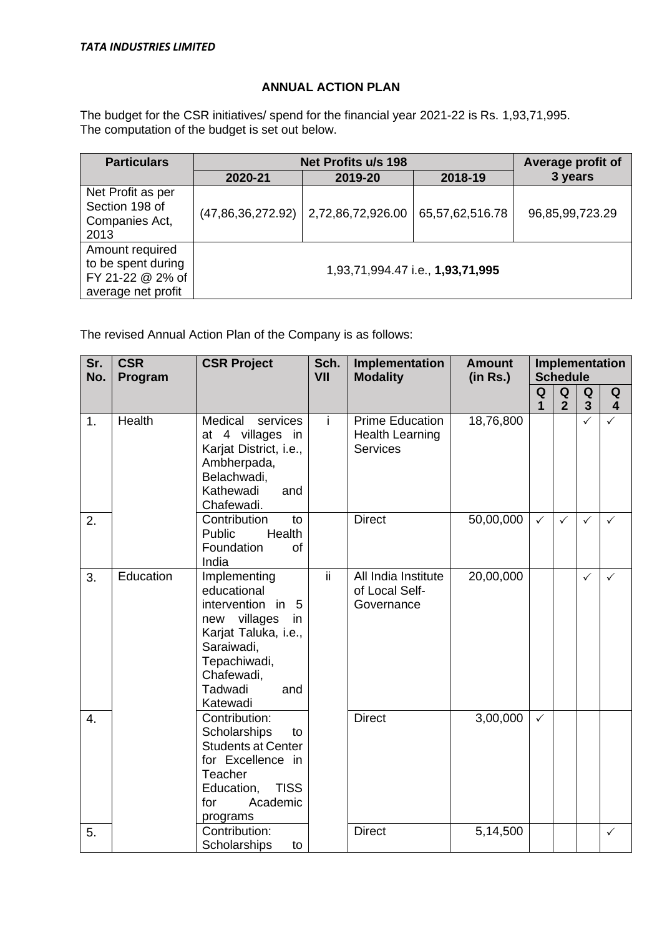## **ANNUAL ACTION PLAN**

The budget for the CSR initiatives/ spend for the financial year 2021-22 is Rs. 1,93,71,995. The computation of the budget is set out below.

| <b>Particulars</b>                                                              | Net Profits u/s 198 | Average profit of                |                 |                 |
|---------------------------------------------------------------------------------|---------------------|----------------------------------|-----------------|-----------------|
|                                                                                 | 2020-21             | 2019-20                          | 2018-19         | 3 years         |
| Net Profit as per<br>Section 198 of<br>Companies Act,<br>2013                   | (47,86,36,272.92)   | 2,72,86,72,926.00                | 65,57,62,516.78 | 96,85,99,723.29 |
| Amount required<br>to be spent during<br>FY 21-22 @ 2% of<br>average net profit |                     | 1,93,71,994.47 i.e., 1,93,71,995 |                 |                 |

The revised Annual Action Plan of the Company is as follows:

| Sr.<br>No.       | <b>CSR</b><br>Program | <b>CSR Project</b>                                                                                                                                                               | Sch.<br>VII | Implementation<br><b>Modality</b>                                   | <b>Amount</b><br>(in Rs.) | Implementation<br><b>Schedule</b> |                     |                              |                              |
|------------------|-----------------------|----------------------------------------------------------------------------------------------------------------------------------------------------------------------------------|-------------|---------------------------------------------------------------------|---------------------------|-----------------------------------|---------------------|------------------------------|------------------------------|
|                  |                       |                                                                                                                                                                                  |             |                                                                     |                           | Q<br>$\mathbf{1}$                 | Q<br>$\overline{2}$ | Q<br>$\overline{\mathbf{3}}$ | Q<br>$\overline{\mathbf{4}}$ |
| 1.               | Health                | Medical<br>services<br>at 4 villages in<br>Karjat District, i.e.,<br>Ambherpada,<br>Belachwadi,<br>Kathewadi<br>and<br>Chafewadi.                                                | j.          | <b>Prime Education</b><br><b>Health Learning</b><br><b>Services</b> | 18,76,800                 |                                   |                     | $\checkmark$                 | $\checkmark$                 |
| 2.               |                       | Contribution<br>to<br>Public<br>Health<br>Foundation<br>of<br>India                                                                                                              |             | <b>Direct</b>                                                       | 50,00,000                 | $\checkmark$                      | $\checkmark$        | $\checkmark$                 | $\checkmark$                 |
| 3.               | Education             | Implementing<br>educational<br>intervention in<br>- 5<br>villages<br>new<br>in<br>Karjat Taluka, i.e.,<br>Saraiwadi,<br>Tepachiwadi,<br>Chafewadi,<br>Tadwadi<br>and<br>Katewadi | ΪÏ          | All India Institute<br>of Local Self-<br>Governance                 | 20,00,000                 |                                   |                     | $\checkmark$                 | $\checkmark$                 |
| $\overline{4}$ . |                       | Contribution:<br>Scholarships<br>to<br><b>Students at Center</b><br>for Excellence in<br>Teacher<br><b>TISS</b><br>Education,<br>Academic<br>for<br>programs                     |             | <b>Direct</b>                                                       | 3,00,000                  | $\checkmark$                      |                     |                              |                              |
| 5.               |                       | Contribution:<br>Scholarships<br>to                                                                                                                                              |             | <b>Direct</b>                                                       | 5,14,500                  |                                   |                     |                              | $\checkmark$                 |